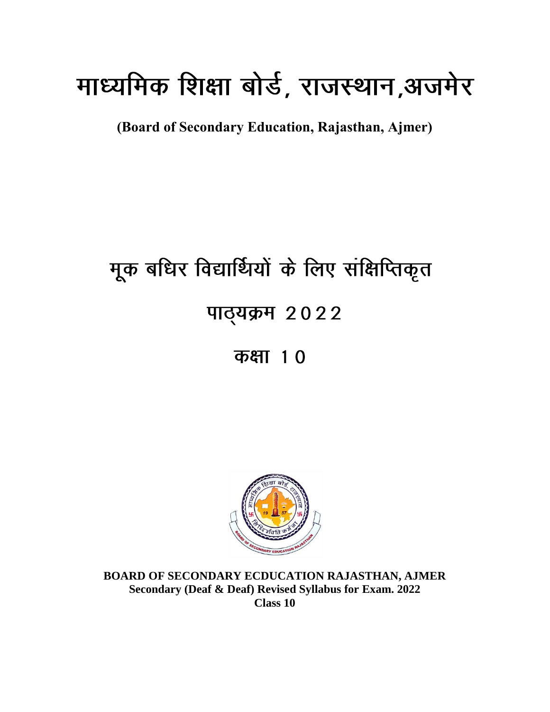# माध्यमिक शिक्षा बोर्ड, राजस्थान,अजमेर

**(Board of Secondary Education, Rajasthan, Ajmer)**

# मूक बधिर विद्यार्थियों के लिए संक्षिप्तिकृत पाठ्यक्रम 2022 कक्षा 10



**BOARD OF SECONDARY ECDUCATION RAJASTHAN, AJMER Secondary (Deaf & Deaf) Revised Syllabus for Exam. 2022 Class 10**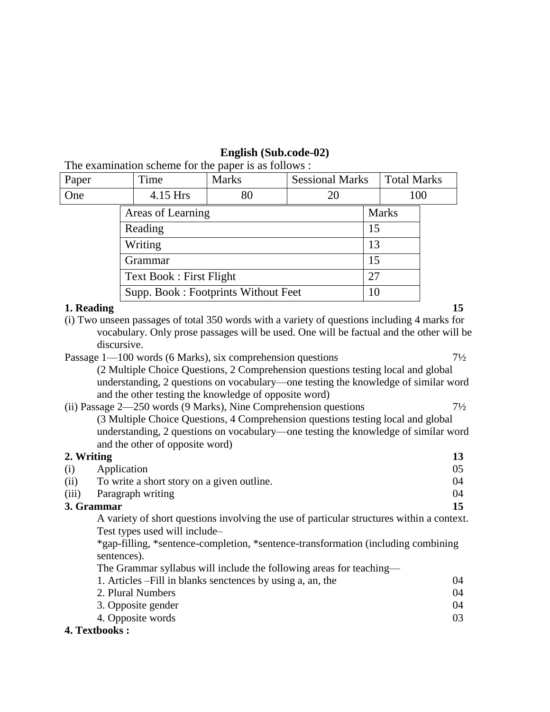#### **English (Sub.code-02)**

The examination scheme for the paper is as follows :

| Paper      | Time |                                | <b>Marks</b>                        | <b>Sessional Marks</b> |    | <b>Total Marks</b> |    |
|------------|------|--------------------------------|-------------------------------------|------------------------|----|--------------------|----|
| One        |      | 4.15 Hrs                       | 80                                  | 20                     |    | 100                |    |
|            |      | Areas of Learning              |                                     |                        |    | <b>Marks</b>       |    |
|            |      | Reading                        |                                     |                        | 15 |                    |    |
|            |      | Writing                        |                                     |                        | 13 |                    |    |
|            |      | Grammar                        |                                     |                        | 15 |                    |    |
|            |      | <b>Text Book: First Flight</b> |                                     |                        | 27 |                    |    |
|            |      |                                | Supp. Book: Footprints Without Feet |                        | 10 |                    |    |
| 1. Reading |      |                                |                                     |                        |    |                    | 15 |

- (i) Two unseen passages of total 350 words with a variety of questions including 4 marks for vocabulary. Only prose passages will be used. One will be factual and the other will be discursive.
- Passage 1—100 words (6 Marks), six comprehension questions  $7\frac{1}{2}$

(2 Multiple Choice Questions, 2 Comprehension questions testing local and global understanding, 2 questions on vocabulary—one testing the knowledge of similar word and the other testing the knowledge of opposite word)

| (ii) Passage 2—250 words (9 Marks), Nine Comprehension questions                   | $7\frac{1}{2}$ |
|------------------------------------------------------------------------------------|----------------|
| (3 Multiple Choice Questions, 4 Comprehension questions testing local and global   |                |
| understanding, 2 questions on vocabulary—one testing the knowledge of similar word |                |
| and the other of opposite word)                                                    |                |

#### **2. Writing 13**

|      | 3. Grammar                                 |      |
|------|--------------------------------------------|------|
|      | (iii) Paragraph writing                    | (1)4 |
| (ii) | To write a short story on a given outline. | 04   |
| (i)  | Application                                |      |

A variety of short questions involving the use of particular structures within a context. Test types used will include–

\*gap-filling, \*sentence-completion, \*sentence-transformation (including combining sentences).

The Grammar syllabus will include the following areas for teaching—

| 1. Articles – Fill in blanks senctences by using a, an, the | 04 |
|-------------------------------------------------------------|----|
| 2. Plural Numbers                                           | 04 |
| 3. Opposite gender                                          | 04 |
| 4. Opposite words                                           | 03 |
| thaalze •                                                   |    |

#### **4. Textbooks :**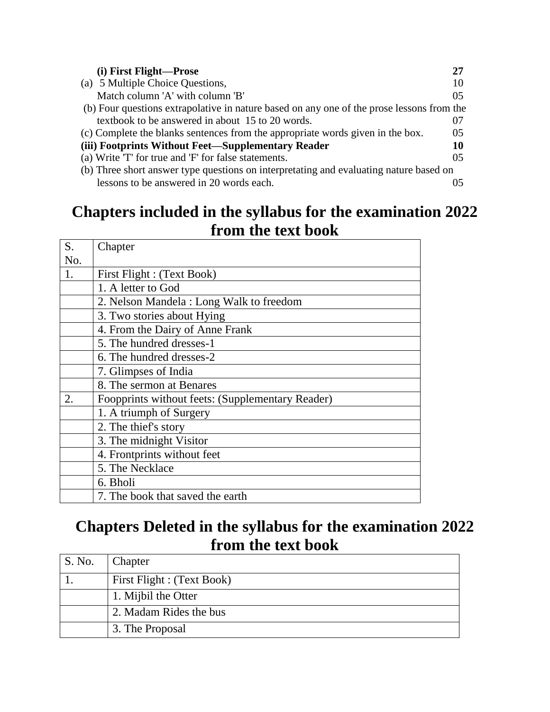| (i) First Flight-Prose                                                                    |                |
|-------------------------------------------------------------------------------------------|----------------|
| (a) 5 Multiple Choice Questions,                                                          | 10             |
| Match column 'A' with column 'B'                                                          | 05             |
| (b) Four questions extrapolative in nature based on any one of the prose lessons from the |                |
| textbook to be answered in about 15 to 20 words.                                          | 07             |
| (c) Complete the blanks sentences from the appropriate words given in the box.            | 0 <sub>5</sub> |
| (iii) Footprints Without Feet—Supplementary Reader                                        | 10             |
| (a) Write 'T' for true and 'F' for false statements.                                      | 0.5            |
| (b) Three short answer type questions on interpretating and evaluating nature based on    |                |
| lessons to be answered in 20 words each.                                                  |                |

#### **Chapters included in the syllabus for the examination 2022 from the text book**

| S.  | Chapter                                          |
|-----|--------------------------------------------------|
| No. |                                                  |
| 1.  | First Flight : (Text Book)                       |
|     | 1. A letter to God                               |
|     | 2. Nelson Mandela: Long Walk to freedom          |
|     | 3. Two stories about Hying                       |
|     | 4. From the Dairy of Anne Frank                  |
|     | 5. The hundred dresses-1                         |
|     | 6. The hundred dresses-2                         |
|     | 7. Glimpses of India                             |
|     | 8. The sermon at Benares                         |
| 2.  | Foopprints without feets: (Supplementary Reader) |
|     | 1. A triumph of Surgery                          |
|     | 2. The thief's story                             |
|     | 3. The midnight Visitor                          |
|     | 4. Frontprints without feet                      |
|     | 5. The Necklace                                  |
|     | 6. Bholi                                         |
|     | 7. The book that saved the earth                 |

'n

## **Chapters Deleted in the syllabus for the examination 2022 from the text book**

| S. No. | Chapter                    |
|--------|----------------------------|
|        | First Flight : (Text Book) |
|        | 1. Mijbil the Otter        |
|        | 2. Madam Rides the bus     |
|        | 3. The Proposal            |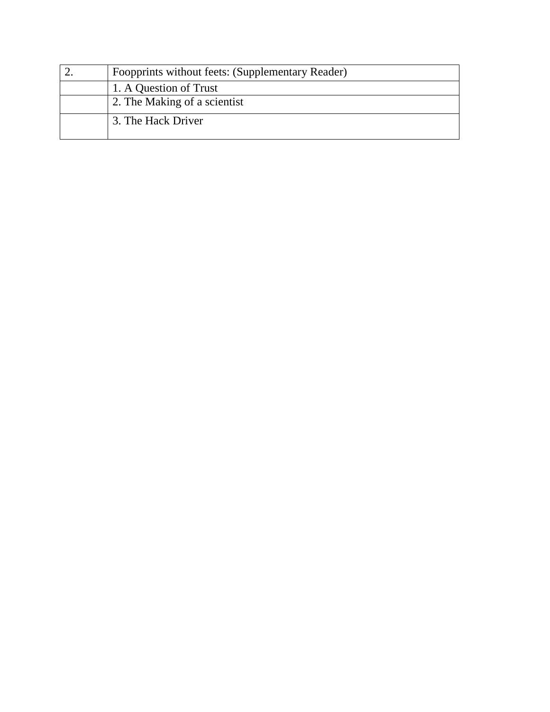| Foopprints without feets: (Supplementary Reader) |
|--------------------------------------------------|
| 1. A Question of Trust                           |
| 2. The Making of a scientist                     |
| 3. The Hack Driver                               |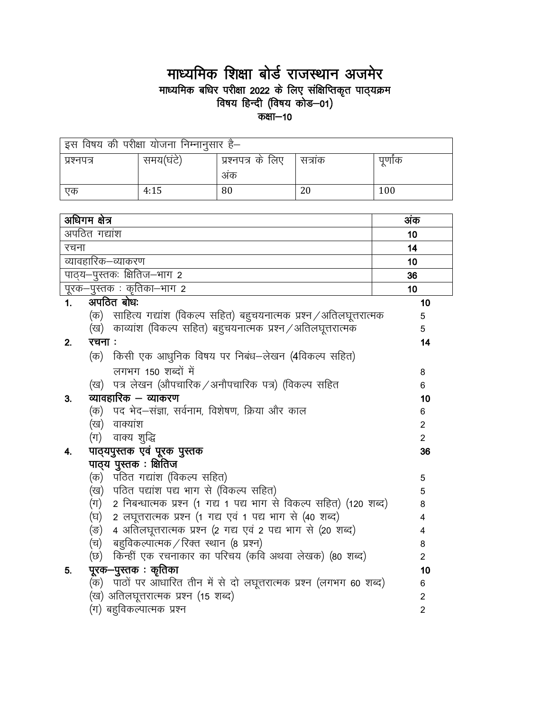## माध्यमिक शिक्षा बोर्ड राजस्थान अजमेर restram are trencent and trencent of a<br>माध्यमिक बधिर परीक्षा 2022 के लिए संक्षिप्तिकृत पाठ्यक्रम<br>कक्षा—10

| इस विषय की परीक्षा योजना निम्नानुसार है— |           |                   |        |         |  |  |  |
|------------------------------------------|-----------|-------------------|--------|---------|--|--|--|
| प्रश्नपत्र                               | समय(घंटे) | प्रश्नपत्र के लिए | सत्राक | पूर्णाक |  |  |  |
|                                          |           | अक                |        |         |  |  |  |
| एक                                       | 4:15      | 80                | 20     | 100     |  |  |  |

| अधिगम क्षेत्र                                                             | अंक            |
|---------------------------------------------------------------------------|----------------|
| अपठित गद्यांश                                                             | 10             |
| रचना                                                                      | 14             |
| व्यावहारिक–व्याकरण                                                        | 10             |
| पाठ्य-पुस्तकः क्षितिज-भाग 2                                               | 36             |
| पूरक-पुस्तक: कृतिका-भाग 2                                                 | 10             |
| अपठित बोधः<br>1 <sub>1</sub>                                              | 10             |
| (क)   साहित्य गद्यांश (विकल्प सहित) बहुचयनात्मक प्रश्न ⁄ अतिलघूत्तरात्मक  | 5              |
| (ख) काव्यांश (विकल्प सहित) बहुचयनात्मक प्रश्न / अतिलघूत्तरात्मक           | 5              |
| रचनाः<br>2.                                                               | 14             |
| (क) किसी एक आधुनिक विषय पर निबंध—लेखन (4विकल्प सहित)                      |                |
| लगभग 150 शब्दों में                                                       | 8              |
| पत्र लेखन (औपचारिक / अनौपचारिक पत्र) (विकल्प सहित<br>(ख)                  | 6              |
| व्यावहारिक – व्याकरण<br>3.                                                | 10             |
| (क) पद भेद–संज्ञा, सर्वनाम, विशेषण, क्रिया और काल                         | 6              |
| (ख) वाक्यांश                                                              | $\overline{2}$ |
| (ग) वाक्य शुद्धि                                                          | $\overline{2}$ |
| पाठ्यपुस्तक एवं पूरक पुस्तक<br>4.                                         | 36             |
| पाठ्य पुस्तक: क्षितिज                                                     |                |
| (क) पठित गद्यांश (विकल्प सहित)                                            | 5              |
| (ख) पठित पद्यांश पद्य भाग से (विकल्प सहित)                                | 5              |
| 2 निबन्धात्मक प्रश्न (1 गद्य 1 पद्य भाग से विकल्प सहित) (120 शब्द)<br>(ग) | 8              |
| 2 लघूत्तरात्मक प्रश्न (1 गद्य एवं 1 पद्य भाग से (40 शब्द)<br>(घ)          | 4              |
| 4 अतिलघूत्तरात्मक प्रश्न (2 गद्य एवं 2 पद्य भाग से (20 शब्द)<br>(ङ)       | 4              |
| बहुविकल्पात्मक / रिक्त स्थान (8 प्रश्न)<br>(च)                            | 8              |
| किन्हीं एक रचनाकार का परिचय (कवि अथवा लेखक) (80 शब्द)<br>(छ)              | $\overline{2}$ |
| पूरक—पुस्तक : कृतिका<br>5.                                                | 10             |
| (क) पाठों पर आधारित तीन में से दो लघूत्तरात्मक प्रश्न (लगभग 60 शब्द)      | 6              |
| (ख) अतिलघूत्तरात्मक प्रश्न (15 शब्द)                                      | $\overline{2}$ |
| (ग) बहुविकल्पात्मक प्रश्न                                                 | $\overline{2}$ |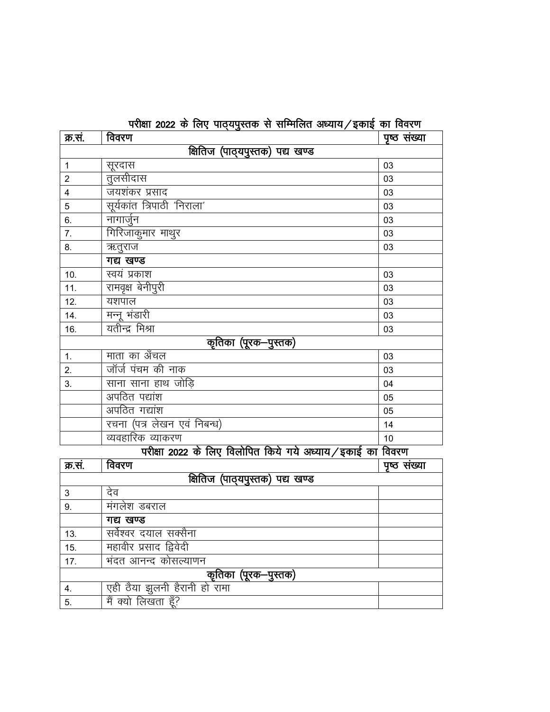|  | परीक्षा 2022 के लिए पाठयपुस्तक से सम्मिलित अध्याय ⁄ इकाई का विवरण |  |  |  |
|--|-------------------------------------------------------------------|--|--|--|

| क्र.स.                                                    | विवरण                           | पृष्ठ संख्या |  |  |  |  |
|-----------------------------------------------------------|---------------------------------|--------------|--|--|--|--|
|                                                           | क्षितिज (पाठ्यपुस्तक) पद्य खण्ड |              |  |  |  |  |
| $\mathbf{1}$                                              | सूरदास                          | 03           |  |  |  |  |
| $\overline{2}$                                            | तुलसीदास                        | 03           |  |  |  |  |
| $\overline{4}$                                            | जयशंकर प्रसाद                   | 03           |  |  |  |  |
| 5                                                         | सूर्यकांत त्रिपाठी 'निराला'     | 03           |  |  |  |  |
| 6.                                                        | नागार्जुन                       | 03           |  |  |  |  |
| 7.                                                        | गिरिजाकुमार माथुर               | 03           |  |  |  |  |
| 8.                                                        | ऋतुराज                          | 03           |  |  |  |  |
|                                                           | गद्य खण्ड                       |              |  |  |  |  |
| 10.                                                       | स्वयं प्रकाश                    | 03           |  |  |  |  |
| 11.                                                       | रामवृक्ष बेनीपुरी               | 03           |  |  |  |  |
| 12.                                                       | यशपाल                           | 03           |  |  |  |  |
| 14.                                                       | मन्नू भंडारी                    | 03           |  |  |  |  |
| 16.                                                       | यतीन्द्र मिश्रा                 | 03           |  |  |  |  |
|                                                           | कृतिका (पूरक-पुस्तक)            |              |  |  |  |  |
| 1.                                                        | माता का अँचल                    | 03           |  |  |  |  |
| 2.                                                        | जॉर्ज पंचम की नाक               | 03           |  |  |  |  |
| 3.                                                        | साना साना हाथ जोड़ि             | 04           |  |  |  |  |
|                                                           | अपठित पद्यांश                   | 05           |  |  |  |  |
|                                                           | अपठित गद्यांश                   | 05           |  |  |  |  |
|                                                           | रचना (पत्र लेखन एवं निबन्ध)     | 14           |  |  |  |  |
|                                                           | व्यवहारिक व्याकरण               | 10           |  |  |  |  |
| परीक्षा 2022 के लिए विलोपित किये गये अध्याय/इकाई का विवरण |                                 |              |  |  |  |  |
| क्र.सं.                                                   | विवरण                           | पृष्ठ संख्या |  |  |  |  |
| क्षितिज (पाठ्यपुस्तक) पद्य खण्ड                           |                                 |              |  |  |  |  |

|     | क्षितिज (पाठ्यपुस्तक) पद्य खण्ड |  |
|-----|---------------------------------|--|
| 3   | देव                             |  |
| 9.  | मंगलेश डबराल                    |  |
|     | गद्य खण्ड                       |  |
| 13. | सर्वेश्वर दयाल सक्सैना          |  |
| 15. | महावीर प्रसाद द्विवेदी          |  |
| 17. | भंदत आनन्द कोसल्याणन            |  |
|     | कृतिका (पूरक—पुस्तक)            |  |
| 4.  | एही ठैया झुलनी हैरानी हो रामा   |  |
| 5.  | मैं क्यो लिखता हूँ?             |  |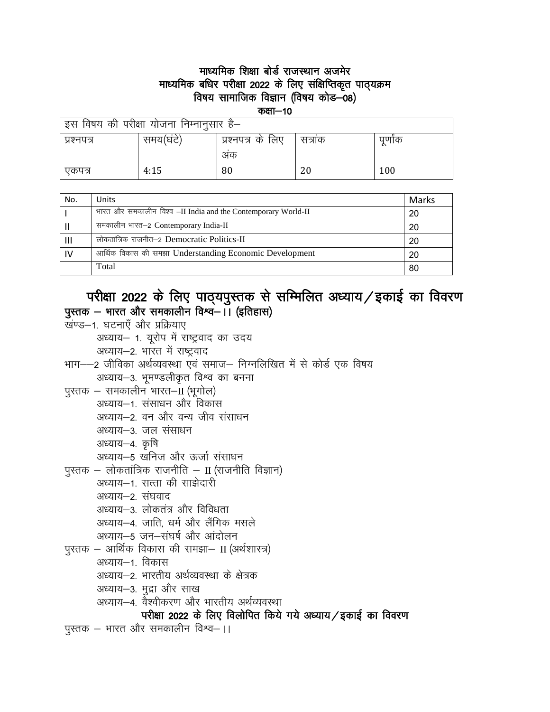#### माध्यमिक शिक्षा बोर्ड राजस्थान अजमेर माध्यमिक बधिर परीक्षा 2022 के लिए संक्षिप्तिकृत पाठ्यक्रम विषय सामाजिक विज्ञान (विषय कोड–08)

कक्षा-10

| इस विषय की परीक्षा योजना निम्नानुसार है— |           |                   |        |      |
|------------------------------------------|-----------|-------------------|--------|------|
| प्रश्नपत्र                               | समय(घंटे) | प्रश्नपत्र के लिए | सत्राक | पणोक |
|                                          |           | अक                |        |      |
| एकपत्र                                   | 4:15      | 80                | 20     | 100  |

| No. | <b>Units</b>                                                  | Marks |
|-----|---------------------------------------------------------------|-------|
|     | भारत और समकालीन विश्व -II India and the Contemporary World-II | 20    |
|     | समकालीन भारत–2 Contemporary India-II                          | 20    |
|     | लोकतांत्रिक राजनीत–2 Democratic Politics-II                   | 20    |
| 1V  | आर्थिक विकास की समझा Understanding Economic Development       | 20    |
|     | Total                                                         | 80    |

#### परीक्षा 2022 के लिए पाठ्यपुस्तक से सम्मिलित अध्याय / इकाई का विवरण पुस्तक – भारत और समकालीन विश्व–।। (इतिहास)

- खण्ड-1. घटनाएँ और प्रक्रियाए अध्याय- 1. यूरोप में राष्ट्रवाद का उदय अध्याय-2. भारत में राष्ट्रवाद
- भाग--2 जीविका अर्थव्यवस्था एवं समाज- निग्नलिखित में से कोर्ड एक विषय अध्याय–3. भूमण्डलीकृत विश्व का बनना
- पुस्तक समकालीन भारत-II (भूगोल)
	- अध्याय-1. संसाधन और विकास
		- अध्याय-2. वन और वन्य जीव संसाधन
		- अध्याय-3. जल संसाधन
		- अध्याय–4. कृषि
		- अध्याय–5 खनिज और ऊर्जा संसाधन
- पुस्तक लोकतांत्रिक राजनीति II (राजनीति विज्ञान)
	- अध्याय–1. सत्ता की साझेदारी
	- अध्याय–2. संघवाद
	- अध्याय—3. लोकतंत्र और विविधता
	- अध्याय-4. जाति, धर्म और लैंगिक मसले
	- अध्याय–5 जन–संघर्ष और आंदोलन
- पुस्तक आर्थिक विकास की समझा– II (अर्थशास्त्र)
	- अध्याय–1. विकास
	- अध्याय–2. भारतीय अर्थव्यवस्था के क्षेत्रक
	- अध्याय-3. मुद्रा और साख
	- अध्याय—4. वैश्वीकरण और भारतीय अर्थव्यवस्था

#### परीक्षा 2022 के लिए विलोपित किये गये अध्याय/इकाई का विवरण

पुस्तक – भारत और समकालीन विश्व–।।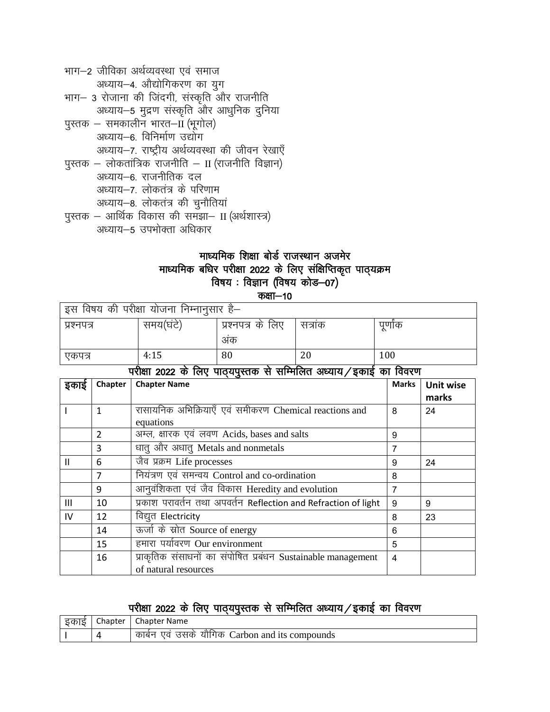| भाग–2 जीविका अर्थव्यवस्था एवं समाज                  |
|-----------------------------------------------------|
| अध्याय-4. औद्योगिकरण का युग                         |
| भाग- 3 रोजाना की जिंदगी, संस्कृति और राजनीति        |
| अध्याय-5 मुद्रण संस्कृति और आधुनिक दुनिया           |
| पुस्तक – समकालीन भारत–II (भूगोल)                    |
| अध्याय-6. विनिर्माण उद्योग                          |
| अध्याय–7. राष्ट्रीय अर्थव्यवस्था की जीवन रेखाएँ     |
| पुस्तक – लोकतांत्रिक राजनीति – II (राजनीति विज्ञान) |
| अध्याय—6. राजनीतिक दल                               |
| अध्याय-7. लोकतंत्र के परिणाम                        |
| अध्याय-8. लोकतंत्र की चुनौतियां                     |
| पुस्तक – आर्थिक विकास की समझा– II (अर्थशास्त्र)     |
| अध्याय–5 उपभोक्ता अधिकार                            |

### माध्यमिक शिक्षा बोर्ड राजस्थान अजमेर माध्यमिक बधिर परीक्षा 2022 के लिए संक्षिप्तिकृत पाठ्यक्रम<br>विषय : विज्ञान (विषय कोड—07) कक्षा $-10$

| । इस विषय की परीक्षा योजना निम्नानुसार है– |           |                   |        |       |
|--------------------------------------------|-----------|-------------------|--------|-------|
| प्रश्नपत्र                                 | समय(घंटे) | प्रश्नपत्र के लिए | सत्राक | पुणोक |
|                                            |           | अक                |        |       |
| एकपत्र                                     | 4:15      | 80                | 20     | 100   |

परीक्षा 2022 के लिए पाठयपुस्तक से सम्मिलित अध्याय / इकाई का विवरण

| इकाइ         | Chapter | <b>Chapter Name</b>                                                                  | <b>Marks</b> | <b>Unit wise</b><br>marks |
|--------------|---------|--------------------------------------------------------------------------------------|--------------|---------------------------|
|              | 1       | रासायनिक अभिक्रियाएँ एवं समीकरण Chemical reactions and<br>equations                  | 8            | 24                        |
|              | 2       | अम्ल, क्षारक एवं लवण Acids, bases and salts                                          | 9            |                           |
|              | 3       | धातु और अधातु Metals and nonmetals                                                   | 7            |                           |
| $\mathbf{H}$ | 6       | जैव प्रक्रम Life processes                                                           | 9            | 24                        |
|              | 7       | नियंत्रण एवं समन्वय Control and co-ordination                                        | 8            |                           |
|              | 9       | आनुवंशिकता एवं जैव विकास Heredity and evolution                                      | 7            |                           |
| Ш            | 10      | प्रकाश परावर्तन तथा अपवर्तन Reflection and Refraction of light                       | 9            | 9                         |
| IV           | 12      | विद्युत Electricity                                                                  | 8            | 23                        |
|              | 14      | ऊर्जा के स्रोत Source of energy                                                      | 6            |                           |
|              | 15      | हमारा पर्यावरण Our environment                                                       | 5            |                           |
|              | 16      | प्राकृतिक संसाधनों का संपोषित प्रबंधन Sustainable management<br>of natural resources | 4            |                           |

### परीक्षा 2022 के लिए पाठ्यपुस्तक से सम्मिलित अध्याय / इकाई का विवरण

| 5 Ind | Chapter | <b>Chapter Name</b>                                    |
|-------|---------|--------------------------------------------------------|
|       |         | यौगिक (<br>एव उसके<br>Carbon and its compounds<br>काबन |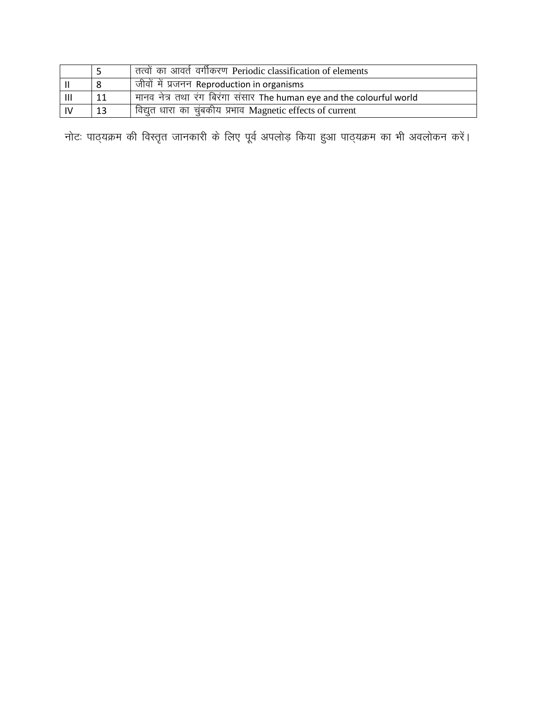|                |    | तत्वों का आवर्त वर्गीकरण Periodic classification of elements          |
|----------------|----|-----------------------------------------------------------------------|
|                |    | । जीवों में प्रजनन Reproduction in organisms                          |
| $\mathbf{III}$ | 11 | मानव नेत्र तथा रंग बिरंगा संसार The human eye and the colourful world |
|                | 13 | विद्युत धारा का चुंबकीय प्रभाव Magnetic effects of current            |

नोटः पाठ्यक्रम की विस्तृत जानकारी के लिए पूर्व अपलोड़ किया हुआ पाठ्यक्रम का भी अवलोकन करें।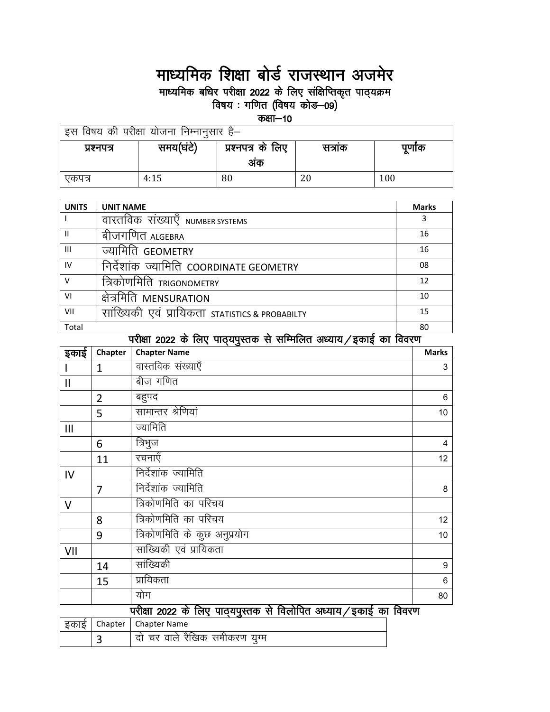## माध्यमिक शिक्षा बोर्ड राजस्थान अजमेर

माध्यमिक बधिर परीक्षा 2022 के लिए संक्षिप्तिकृत पाठ्यक्रम<br>विषय : गणित (विषय कोड—09)

कक्षा $-10$ 

| इस विषय की परीक्षा योजना निम्नानुसार है— |           |                   |        |         |  |
|------------------------------------------|-----------|-------------------|--------|---------|--|
| प्रश्नपत्र                               | समय(घंटे) | प्रश्नपत्र के लिए | सत्राक | पूर्णाक |  |
|                                          |           | अक                |        |         |  |
| एकपत्र                                   | 4:15      | 80                | 20     | 100     |  |

| <b>UNITS</b>   | <b>UNIT NAME</b>                                 | <b>Marks</b> |
|----------------|--------------------------------------------------|--------------|
|                | वास्तविक संख्याए NUMBER SYSTEMS                  | 3            |
| Ш              | बीजगणित ALGEBRA                                  | 16           |
| $\mathbf{III}$ | ज्यामिति GEOMETRY                                | 16           |
| IV             | निर्देशांक ज्यामिति COORDINATE GEOMETRY          | 08           |
| v              | त्रिकोणमिति тrigonometry                         | 12           |
| VI             | क्षेत्रमिति MENSURATION                          | 10           |
| VII            | एव प्रायिकता statistics & PROBABILTY<br>साख्यिकी | 15           |
| Total          |                                                  | 80           |

|               |                | पराक्षा 2022 के लिए पाठ्यपुस्तक से साम्मालत अध्याय ⁄ इकाइ का विवरण |              |
|---------------|----------------|--------------------------------------------------------------------|--------------|
| इकाई          | Chapter        | <b>Chapter Name</b>                                                | <b>Marks</b> |
|               | $\mathbf{1}$   | वास्तविक संख्याएँ                                                  | 3            |
| $\mathsf{II}$ |                | बीज गणित                                                           |              |
|               | $\overline{2}$ | बहुपद                                                              | 6            |
|               | 5              | सामान्तर श्रेणियां                                                 | 10           |
| Ш             |                | ज्यामिति                                                           |              |
|               | 6              | त्रिभुज                                                            | 4            |
|               | 11             | रचनाएँ                                                             | 12           |
| IV            |                | निर्देशांक ज्यामिति                                                |              |
|               | $\overline{7}$ | निर्देशांक ज्यामिति                                                | 8            |
| $\vee$        |                | त्रिकोणमिति का परिचय                                               |              |
|               | 8              | त्रिकोणमिति का परिचय                                               | 12           |
|               | 9              | त्रिकोणमिति के कुछ अनुप्रयोग                                       | 10           |
| VII           |                | साख्यिकी एवं प्रायिकता                                             |              |
|               | 14             | सांख्यिकी                                                          | 9            |
|               | 15             | प्रायिकता                                                          | 6            |
|               |                | योग                                                                | 80           |
|               |                | परीक्षा 2022 के लिए पाठ्यपुस्तक से विलोपित अध्याय/इकाई का विवरण    |              |
| इकाई          | Chapter        | <b>Chapter Name</b>                                                |              |
|               | 3              | दो चर वाले रैखिक समीकरण युग्म                                      |              |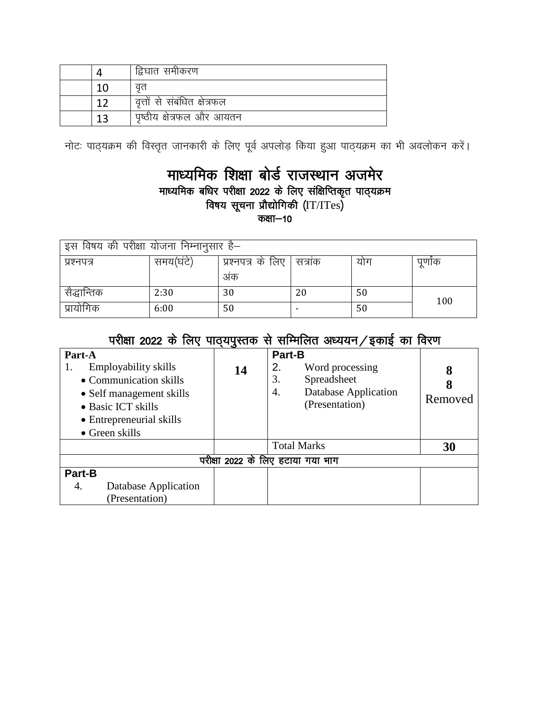|  | द्विघात समीकरण               |
|--|------------------------------|
|  | वत                           |
|  | वृत्तों से संबंधित क्षेत्रफल |
|  | पृष्ठीय क्षेत्रफल और आयतन    |

नोटः पाठ्यक्रम की विस्तृत जानकारी के लिए पूर्व अपलोड़ किया हुआ पाठ्यक्रम का भी अवलोकन करें।

#### माध्यमिक शिक्षा बोर्ड राजस्थान अजमेर माध्यमिक बधिर परीक्षा 2022 के लिए संक्षिप्तिकृत पाठ्यक्रम विषय सूचना प्रौद्योगिकी (IT/ITes) $\,$ कक्षा $-10$

| इस विषय की परीक्षा योजना निम्नानुसार है— |           |                   |        |     |       |
|------------------------------------------|-----------|-------------------|--------|-----|-------|
| प्रश्नपत्र                               | समय(घंटे) | प्रश्नपत्र के लिए | सत्राक | योग | पुणोक |
|                                          |           | अंक               |        |     |       |
| सैद्धान्तिक                              | 2:30      | 30                | 20     | 50  | 100   |
| प्रायोगिक                                | 6:00      | 50                |        | 50  |       |

|  | परीक्षा 2022 के लिए पाठ्यपुस्तक से सम्मिलित अध्ययन ⁄ इकाई का विरण |  |  |
|--|-------------------------------------------------------------------|--|--|
|  |                                                                   |  |  |

| Part-A<br>Employability skills<br>• Communication skills<br>• Self management skills<br>• Basic ICT skills<br>• Entrepreneurial skills<br>$\bullet$ Green skills | ం<br>14 | <b>Part-B</b><br>2.<br>Word processing<br>3.<br>Spreadsheet<br><b>Database Application</b><br>4.<br>(Presentation) | 8<br>8<br>Removed |
|------------------------------------------------------------------------------------------------------------------------------------------------------------------|---------|--------------------------------------------------------------------------------------------------------------------|-------------------|
|                                                                                                                                                                  |         | <b>Total Marks</b>                                                                                                 | 30                |
|                                                                                                                                                                  |         | परीक्षा 2022 के लिए हटाया गया भाग                                                                                  |                   |
| Part-B<br>Database Application<br>4.<br>(Presentation)                                                                                                           |         |                                                                                                                    |                   |